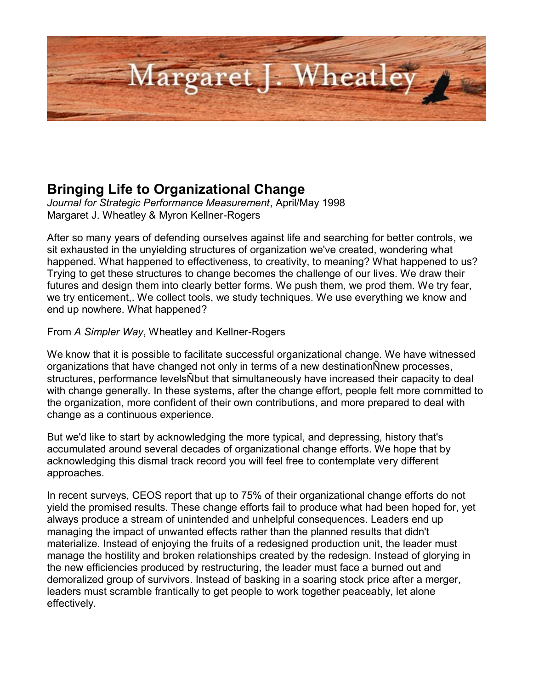

## **Bringing Life to Organizational Change**

*Journal for Strategic Performance Measurement*, April/May 1998 Margaret J. Wheatley & Myron Kellner-Rogers

After so many years of defending ourselves against life and searching for better controls, we sit exhausted in the unyielding structures of organization we've created, wondering what happened. What happened to effectiveness, to creativity, to meaning? What happened to us? Trying to get these structures to change becomes the challenge of our lives. We draw their futures and design them into clearly better forms. We push them, we prod them. We try fear, we try enticement,. We collect tools, we study techniques. We use everything we know and end up nowhere. What happened?

## From *A Simpler Way*, Wheatley and Kellner-Rogers

We know that it is possible to facilitate successful organizational change. We have witnessed organizations that have changed not only in terms of a new destinationÑnew processes, structures, performance levelsÑbut that simultaneously have increased their capacity to deal with change generally. In these systems, after the change effort, people felt more committed to the organization, more confident of their own contributions, and more prepared to deal with change as a continuous experience.

But we'd like to start by acknowledging the more typical, and depressing, history that's accumulated around several decades of organizational change efforts. We hope that by acknowledging this dismal track record you will feel free to contemplate very different approaches.

In recent surveys, CEOS report that up to 75% of their organizational change efforts do not yield the promised results. These change efforts fail to produce what had been hoped for, yet always produce a stream of unintended and unhelpful consequences. Leaders end up managing the impact of unwanted effects rather than the planned results that didn't materialize. Instead of enjoying the fruits of a redesigned production unit, the leader must manage the hostility and broken relationships created by the redesign. Instead of glorying in the new efficiencies produced by restructuring, the leader must face a burned out and demoralized group of survivors. Instead of basking in a soaring stock price after a merger, leaders must scramble frantically to get people to work together peaceably, let alone effectively.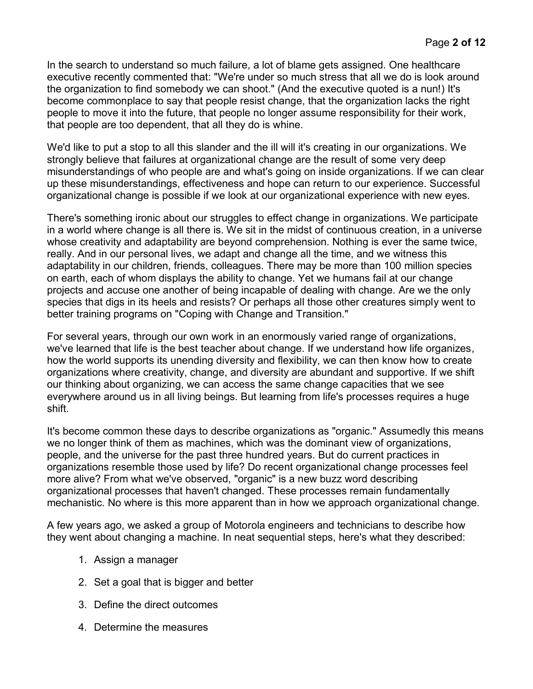In the search to understand so much failure, a lot of blame gets assigned. One healthcare executive recently commented that: "We're under so much stress that all we do is look around the organization to find somebody we can shoot." (And the executive quoted is a nun!) It's become commonplace to say that people resist change, that the organization lacks the right people to move it into the future, that people no longer assume responsibility for their work, that people are too dependent, that all they do is whine.

We'd like to put a stop to all this slander and the ill will it's creating in our organizations. We strongly believe that failures at organizational change are the result of some very deep misunderstandings of who people are and what's going on inside organizations. If we can clear up these misunderstandings, effectiveness and hope can return to our experience. Successful organizational change is possible if we look at our organizational experience with new eyes.

There's something ironic about our struggles to effect change in organizations. We participate in a world where change is all there is. We sit in the midst of continuous creation, in a universe whose creativity and adaptability are beyond comprehension. Nothing is ever the same twice, really. And in our personal lives, we adapt and change all the time, and we witness this adaptability in our children, friends, colleagues. There may be more than 100 million species on earth, each of whom displays the ability to change. Yet we humans fail at our change projects and accuse one another of being incapable of dealing with change. Are we the only species that digs in its heels and resists? Or perhaps all those other creatures simply went to better training programs on "Coping with Change and Transition."

For several years, through our own work in an enormously varied range of organizations, we've learned that life is the best teacher about change. If we understand how life organizes, how the world supports its unending diversity and flexibility, we can then know how to create organizations where creativity, change, and diversity are abundant and supportive. If we shift our thinking about organizing, we can access the same change capacities that we see everywhere around us in all living beings. But learning from life's processes requires a huge shift.

It's become common these days to describe organizations as "organic." Assumedly this means we no longer think of them as machines, which was the dominant view of organizations, people, and the universe for the past three hundred years. But do current practices in organizations resemble those used by life? Do recent organizational change processes feel more alive? From what we've observed, "organic" is a new buzz word describing organizational processes that haven't changed. These processes remain fundamentally mechanistic. No where is this more apparent than in how we approach organizational change.

A few years ago, we asked a group of Motorola engineers and technicians to describe how they went about changing a machine. In neat sequential steps, here's what they described:

- 1. Assign a manager
- 2. Set a goal that is bigger and better
- 3. Define the direct outcomes
- 4. Determine the measures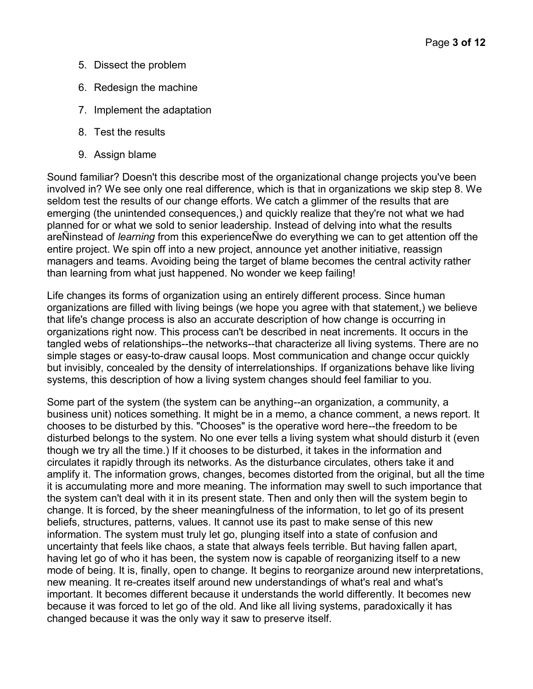- 5. Dissect the problem
- 6. Redesign the machine
- 7. Implement the adaptation
- 8. Test the results
- 9. Assign blame

Sound familiar? Doesn't this describe most of the organizational change projects you've been involved in? We see only one real difference, which is that in organizations we skip step 8. We seldom test the results of our change efforts. We catch a glimmer of the results that are emerging (the unintended consequences,) and quickly realize that they're not what we had planned for or what we sold to senior leadership. Instead of delving into what the results areÑinstead of *learning* from this experienceÑwe do everything we can to get attention off the entire project. We spin off into a new project, announce yet another initiative, reassign managers and teams. Avoiding being the target of blame becomes the central activity rather than learning from what just happened. No wonder we keep failing!

Life changes its forms of organization using an entirely different process. Since human organizations are filled with living beings (we hope you agree with that statement,) we believe that life's change process is also an accurate description of how change is occurring in organizations right now. This process can't be described in neat increments. It occurs in the tangled webs of relationships--the networks--that characterize all living systems. There are no simple stages or easy-to-draw causal loops. Most communication and change occur quickly but invisibly, concealed by the density of interrelationships. If organizations behave like living systems, this description of how a living system changes should feel familiar to you.

Some part of the system (the system can be anything--an organization, a community, a business unit) notices something. It might be in a memo, a chance comment, a news report. It chooses to be disturbed by this. "Chooses" is the operative word here--the freedom to be disturbed belongs to the system. No one ever tells a living system what should disturb it (even though we try all the time.) If it chooses to be disturbed, it takes in the information and circulates it rapidly through its networks. As the disturbance circulates, others take it and amplify it. The information grows, changes, becomes distorted from the original, but all the time it is accumulating more and more meaning. The information may swell to such importance that the system can't deal with it in its present state. Then and only then will the system begin to change. It is forced, by the sheer meaningfulness of the information, to let go of its present beliefs, structures, patterns, values. It cannot use its past to make sense of this new information. The system must truly let go, plunging itself into a state of confusion and uncertainty that feels like chaos, a state that always feels terrible. But having fallen apart, having let go of who it has been, the system now is capable of reorganizing itself to a new mode of being. It is, finally, open to change. It begins to reorganize around new interpretations, new meaning. It re-creates itself around new understandings of what's real and what's important. It becomes different because it understands the world differently. It becomes new because it was forced to let go of the old. And like all living systems, paradoxically it has changed because it was the only way it saw to preserve itself.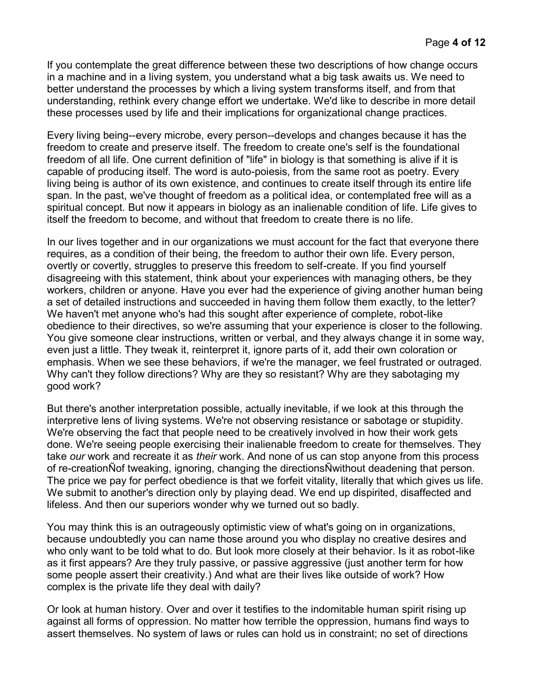If you contemplate the great difference between these two descriptions of how change occurs in a machine and in a living system, you understand what a big task awaits us. We need to better understand the processes by which a living system transforms itself, and from that understanding, rethink every change effort we undertake. We'd like to describe in more detail these processes used by life and their implications for organizational change practices.

Every living being--every microbe, every person--develops and changes because it has the freedom to create and preserve itself. The freedom to create one's self is the foundational freedom of all life. One current definition of "life" in biology is that something is alive if it is capable of producing itself. The word is auto-poiesis, from the same root as poetry. Every living being is author of its own existence, and continues to create itself through its entire life span. In the past, we've thought of freedom as a political idea, or contemplated free will as a spiritual concept. But now it appears in biology as an inalienable condition of life. Life gives to itself the freedom to become, and without that freedom to create there is no life.

In our lives together and in our organizations we must account for the fact that everyone there requires, as a condition of their being, the freedom to author their own life. Every person, overtly or covertly, struggles to preserve this freedom to self-create. If you find yourself disagreeing with this statement, think about your experiences with managing others, be they workers, children or anyone. Have you ever had the experience of giving another human being a set of detailed instructions and succeeded in having them follow them exactly, to the letter? We haven't met anyone who's had this sought after experience of complete, robot-like obedience to their directives, so we're assuming that your experience is closer to the following. You give someone clear instructions, written or verbal, and they always change it in some way, even just a little. They tweak it, reinterpret it, ignore parts of it, add their own coloration or emphasis. When we see these behaviors, if we're the manager, we feel frustrated or outraged. Why can't they follow directions? Why are they so resistant? Why are they sabotaging my good work?

But there's another interpretation possible, actually inevitable, if we look at this through the interpretive lens of living systems. We're not observing resistance or sabotage or stupidity. We're observing the fact that people need to be creatively involved in how their work gets done. We're seeing people exercising their inalienable freedom to create for themselves. They take *our* work and recreate it as *their* work. And none of us can stop anyone from this process of re-creationÑof tweaking, ignoring, changing the directionsÑwithout deadening that person. The price we pay for perfect obedience is that we forfeit vitality, literally that which gives us life. We submit to another's direction only by playing dead. We end up dispirited, disaffected and lifeless. And then our superiors wonder why we turned out so badly.

You may think this is an outrageously optimistic view of what's going on in organizations, because undoubtedly you can name those around you who display no creative desires and who only want to be told what to do. But look more closely at their behavior. Is it as robot-like as it first appears? Are they truly passive, or passive aggressive (just another term for how some people assert their creativity.) And what are their lives like outside of work? How complex is the private life they deal with daily?

Or look at human history. Over and over it testifies to the indomitable human spirit rising up against all forms of oppression. No matter how terrible the oppression, humans find ways to assert themselves. No system of laws or rules can hold us in constraint; no set of directions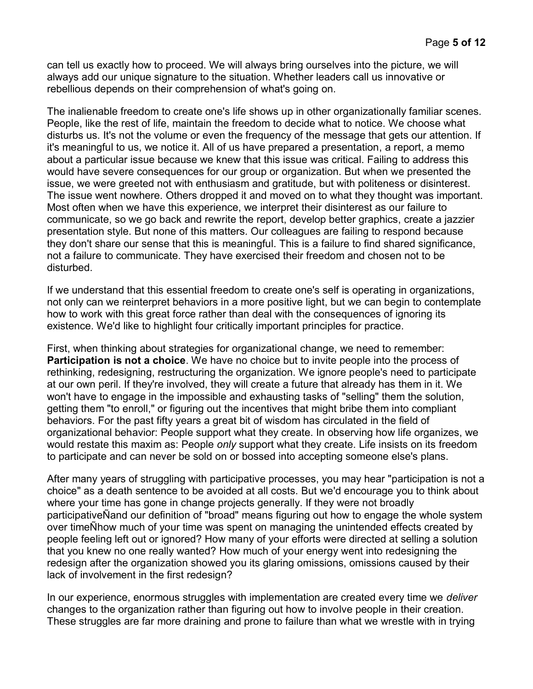can tell us exactly how to proceed. We will always bring ourselves into the picture, we will always add our unique signature to the situation. Whether leaders call us innovative or rebellious depends on their comprehension of what's going on.

The inalienable freedom to create one's life shows up in other organizationally familiar scenes. People, like the rest of life, maintain the freedom to decide what to notice. We choose what disturbs us. It's not the volume or even the frequency of the message that gets our attention. If it's meaningful to us, we notice it. All of us have prepared a presentation, a report, a memo about a particular issue because we knew that this issue was critical. Failing to address this would have severe consequences for our group or organization. But when we presented the issue, we were greeted not with enthusiasm and gratitude, but with politeness or disinterest. The issue went nowhere. Others dropped it and moved on to what they thought was important. Most often when we have this experience, we interpret their disinterest as our failure to communicate, so we go back and rewrite the report, develop better graphics, create a jazzier presentation style. But none of this matters. Our colleagues are failing to respond because they don't share our sense that this is meaningful. This is a failure to find shared significance, not a failure to communicate. They have exercised their freedom and chosen not to be disturbed.

If we understand that this essential freedom to create one's self is operating in organizations, not only can we reinterpret behaviors in a more positive light, but we can begin to contemplate how to work with this great force rather than deal with the consequences of ignoring its existence. We'd like to highlight four critically important principles for practice.

First, when thinking about strategies for organizational change, we need to remember: **Participation is not a choice**. We have no choice but to invite people into the process of rethinking, redesigning, restructuring the organization. We ignore people's need to participate at our own peril. If they're involved, they will create a future that already has them in it. We won't have to engage in the impossible and exhausting tasks of "selling" them the solution, getting them "to enroll," or figuring out the incentives that might bribe them into compliant behaviors. For the past fifty years a great bit of wisdom has circulated in the field of organizational behavior: People support what they create. In observing how life organizes, we would restate this maxim as: People *only* support what they create. Life insists on its freedom to participate and can never be sold on or bossed into accepting someone else's plans.

After many years of struggling with participative processes, you may hear "participation is not a choice" as a death sentence to be avoided at all costs. But we'd encourage you to think about where your time has gone in change projects generally. If they were not broadly participativeÑand our definition of "broad" means figuring out how to engage the whole system over timeÑhow much of your time was spent on managing the unintended effects created by people feeling left out or ignored? How many of your efforts were directed at selling a solution that you knew no one really wanted? How much of your energy went into redesigning the redesign after the organization showed you its glaring omissions, omissions caused by their lack of involvement in the first redesign?

In our experience, enormous struggles with implementation are created every time we *deliver* changes to the organization rather than figuring out how to involve people in their creation. These struggles are far more draining and prone to failure than what we wrestle with in trying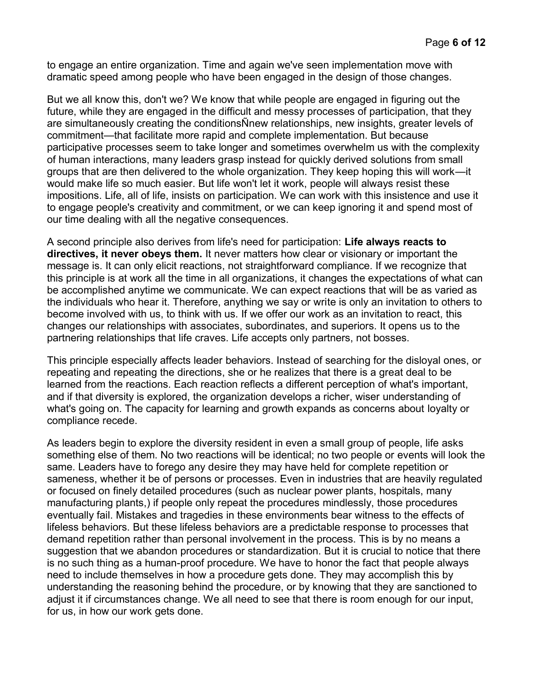to engage an entire organization. Time and again we've seen implementation move with dramatic speed among people who have been engaged in the design of those changes.

But we all know this, don't we? We know that while people are engaged in figuring out the future, while they are engaged in the difficult and messy processes of participation, that they are simultaneously creating the conditionsÑnew relationships, new insights, greater levels of commitment—that facilitate more rapid and complete implementation. But because participative processes seem to take longer and sometimes overwhelm us with the complexity of human interactions, many leaders grasp instead for quickly derived solutions from small groups that are then delivered to the whole organization. They keep hoping this will work—it would make life so much easier. But life won't let it work, people will always resist these impositions. Life, all of life, insists on participation. We can work with this insistence and use it to engage people's creativity and commitment, or we can keep ignoring it and spend most of our time dealing with all the negative consequences.

A second principle also derives from life's need for participation: **Life always reacts to directives, it never obeys them.** It never matters how clear or visionary or important the message is. It can only elicit reactions, not straightforward compliance. If we recognize that this principle is at work all the time in all organizations, it changes the expectations of what can be accomplished anytime we communicate. We can expect reactions that will be as varied as the individuals who hear it. Therefore, anything we say or write is only an invitation to others to become involved with us, to think with us. If we offer our work as an invitation to react, this changes our relationships with associates, subordinates, and superiors. It opens us to the partnering relationships that life craves. Life accepts only partners, not bosses.

This principle especially affects leader behaviors. Instead of searching for the disloyal ones, or repeating and repeating the directions, she or he realizes that there is a great deal to be learned from the reactions. Each reaction reflects a different perception of what's important, and if that diversity is explored, the organization develops a richer, wiser understanding of what's going on. The capacity for learning and growth expands as concerns about loyalty or compliance recede.

As leaders begin to explore the diversity resident in even a small group of people, life asks something else of them. No two reactions will be identical; no two people or events will look the same. Leaders have to forego any desire they may have held for complete repetition or sameness, whether it be of persons or processes. Even in industries that are heavily regulated or focused on finely detailed procedures (such as nuclear power plants, hospitals, many manufacturing plants,) if people only repeat the procedures mindlessly, those procedures eventually fail. Mistakes and tragedies in these environments bear witness to the effects of lifeless behaviors. But these lifeless behaviors are a predictable response to processes that demand repetition rather than personal involvement in the process. This is by no means a suggestion that we abandon procedures or standardization. But it is crucial to notice that there is no such thing as a human-proof procedure. We have to honor the fact that people always need to include themselves in how a procedure gets done. They may accomplish this by understanding the reasoning behind the procedure, or by knowing that they are sanctioned to adjust it if circumstances change. We all need to see that there is room enough for our input, for us, in how our work gets done.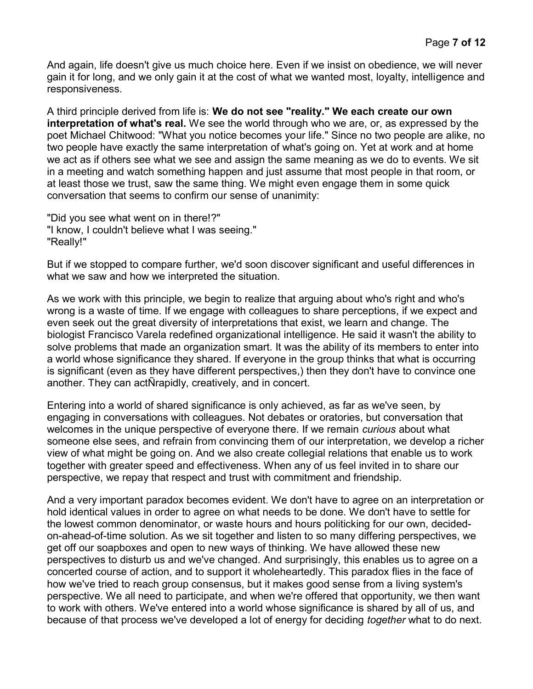And again, life doesn't give us much choice here. Even if we insist on obedience, we will never gain it for long, and we only gain it at the cost of what we wanted most, loyalty, intelligence and responsiveness.

A third principle derived from life is: **We do not see "reality." We each create our own interpretation of what's real.** We see the world through who we are, or, as expressed by the poet Michael Chitwood: "What you notice becomes your life." Since no two people are alike, no two people have exactly the same interpretation of what's going on. Yet at work and at home we act as if others see what we see and assign the same meaning as we do to events. We sit in a meeting and watch something happen and just assume that most people in that room, or at least those we trust, saw the same thing. We might even engage them in some quick conversation that seems to confirm our sense of unanimity:

"Did you see what went on in there!?" "I know, I couldn't believe what I was seeing." "Really!"

But if we stopped to compare further, we'd soon discover significant and useful differences in what we saw and how we interpreted the situation.

As we work with this principle, we begin to realize that arguing about who's right and who's wrong is a waste of time. If we engage with colleagues to share perceptions, if we expect and even seek out the great diversity of interpretations that exist, we learn and change. The biologist Francisco Varela redefined organizational intelligence. He said it wasn't the ability to solve problems that made an organization smart. It was the ability of its members to enter into a world whose significance they shared. If everyone in the group thinks that what is occurring is significant (even as they have different perspectives,) then they don't have to convince one another. They can actÑrapidly, creatively, and in concert.

Entering into a world of shared significance is only achieved, as far as we've seen, by engaging in conversations with colleagues. Not debates or oratories, but conversation that welcomes in the unique perspective of everyone there. If we remain *curious* about what someone else sees, and refrain from convincing them of our interpretation, we develop a richer view of what might be going on. And we also create collegial relations that enable us to work together with greater speed and effectiveness. When any of us feel invited in to share our perspective, we repay that respect and trust with commitment and friendship.

And a very important paradox becomes evident. We don't have to agree on an interpretation or hold identical values in order to agree on what needs to be done. We don't have to settle for the lowest common denominator, or waste hours and hours politicking for our own, decidedon-ahead-of-time solution. As we sit together and listen to so many differing perspectives, we get off our soapboxes and open to new ways of thinking. We have allowed these new perspectives to disturb us and we've changed. And surprisingly, this enables us to agree on a concerted course of action, and to support it wholeheartedly. This paradox flies in the face of how we've tried to reach group consensus, but it makes good sense from a living system's perspective. We all need to participate, and when we're offered that opportunity, we then want to work with others. We've entered into a world whose significance is shared by all of us, and because of that process we've developed a lot of energy for deciding *together* what to do next.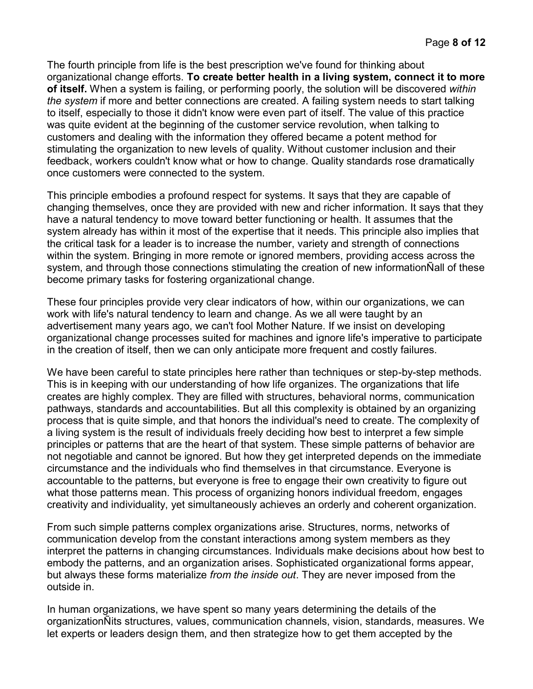The fourth principle from life is the best prescription we've found for thinking about organizational change efforts. **To create better health in a living system, connect it to more of itself.** When a system is failing, or performing poorly, the solution will be discovered *within the system* if more and better connections are created. A failing system needs to start talking to itself, especially to those it didn't know were even part of itself. The value of this practice was quite evident at the beginning of the customer service revolution, when talking to customers and dealing with the information they offered became a potent method for stimulating the organization to new levels of quality. Without customer inclusion and their feedback, workers couldn't know what or how to change. Quality standards rose dramatically once customers were connected to the system.

This principle embodies a profound respect for systems. It says that they are capable of changing themselves, once they are provided with new and richer information. It says that they have a natural tendency to move toward better functioning or health. It assumes that the system already has within it most of the expertise that it needs. This principle also implies that the critical task for a leader is to increase the number, variety and strength of connections within the system. Bringing in more remote or ignored members, providing access across the system, and through those connections stimulating the creation of new informationÑall of these become primary tasks for fostering organizational change.

These four principles provide very clear indicators of how, within our organizations, we can work with life's natural tendency to learn and change. As we all were taught by an advertisement many years ago, we can't fool Mother Nature. If we insist on developing organizational change processes suited for machines and ignore life's imperative to participate in the creation of itself, then we can only anticipate more frequent and costly failures.

We have been careful to state principles here rather than techniques or step-by-step methods. This is in keeping with our understanding of how life organizes. The organizations that life creates are highly complex. They are filled with structures, behavioral norms, communication pathways, standards and accountabilities. But all this complexity is obtained by an organizing process that is quite simple, and that honors the individual's need to create. The complexity of a living system is the result of individuals freely deciding how best to interpret a few simple principles or patterns that are the heart of that system. These simple patterns of behavior are not negotiable and cannot be ignored. But how they get interpreted depends on the immediate circumstance and the individuals who find themselves in that circumstance. Everyone is accountable to the patterns, but everyone is free to engage their own creativity to figure out what those patterns mean. This process of organizing honors individual freedom, engages creativity and individuality, yet simultaneously achieves an orderly and coherent organization.

From such simple patterns complex organizations arise. Structures, norms, networks of communication develop from the constant interactions among system members as they interpret the patterns in changing circumstances. Individuals make decisions about how best to embody the patterns, and an organization arises. Sophisticated organizational forms appear, but always these forms materialize *from the inside out*. They are never imposed from the outside in.

In human organizations, we have spent so many years determining the details of the organizationÑits structures, values, communication channels, vision, standards, measures. We let experts or leaders design them, and then strategize how to get them accepted by the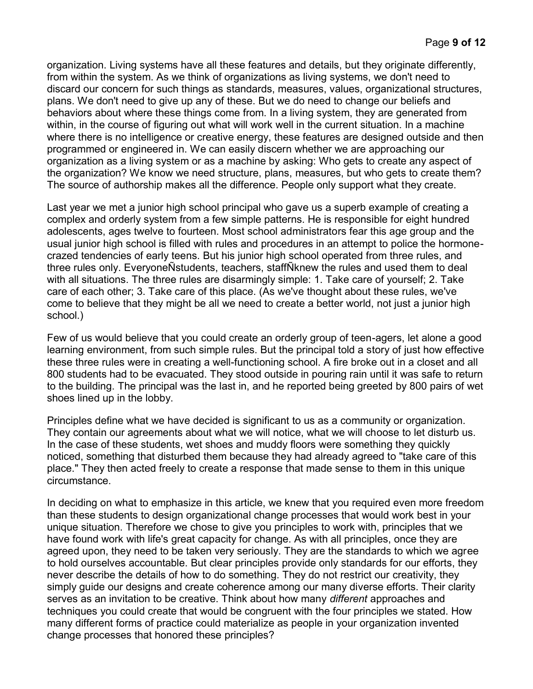organization. Living systems have all these features and details, but they originate differently, from within the system. As we think of organizations as living systems, we don't need to discard our concern for such things as standards, measures, values, organizational structures, plans. We don't need to give up any of these. But we do need to change our beliefs and behaviors about where these things come from. In a living system, they are generated from within, in the course of figuring out what will work well in the current situation. In a machine where there is no intelligence or creative energy, these features are designed outside and then programmed or engineered in. We can easily discern whether we are approaching our organization as a living system or as a machine by asking: Who gets to create any aspect of the organization? We know we need structure, plans, measures, but who gets to create them? The source of authorship makes all the difference. People only support what they create.

Last year we met a junior high school principal who gave us a superb example of creating a complex and orderly system from a few simple patterns. He is responsible for eight hundred adolescents, ages twelve to fourteen. Most school administrators fear this age group and the usual junior high school is filled with rules and procedures in an attempt to police the hormonecrazed tendencies of early teens. But his junior high school operated from three rules, and three rules only. EveryoneÑstudents, teachers, staffÑknew the rules and used them to deal with all situations. The three rules are disarmingly simple: 1. Take care of yourself; 2. Take care of each other; 3. Take care of this place. (As we've thought about these rules, we've come to believe that they might be all we need to create a better world, not just a junior high school.)

Few of us would believe that you could create an orderly group of teen-agers, let alone a good learning environment, from such simple rules. But the principal told a story of just how effective these three rules were in creating a well-functioning school. A fire broke out in a closet and all 800 students had to be evacuated. They stood outside in pouring rain until it was safe to return to the building. The principal was the last in, and he reported being greeted by 800 pairs of wet shoes lined up in the lobby.

Principles define what we have decided is significant to us as a community or organization. They contain our agreements about what we will notice, what we will choose to let disturb us. In the case of these students, wet shoes and muddy floors were something they quickly noticed, something that disturbed them because they had already agreed to "take care of this place." They then acted freely to create a response that made sense to them in this unique circumstance.

In deciding on what to emphasize in this article, we knew that you required even more freedom than these students to design organizational change processes that would work best in your unique situation. Therefore we chose to give you principles to work with, principles that we have found work with life's great capacity for change. As with all principles, once they are agreed upon, they need to be taken very seriously. They are the standards to which we agree to hold ourselves accountable. But clear principles provide only standards for our efforts, they never describe the details of how to do something. They do not restrict our creativity, they simply guide our designs and create coherence among our many diverse efforts. Their clarity serves as an invitation to be creative. Think about how many *different* approaches and techniques you could create that would be congruent with the four principles we stated. How many different forms of practice could materialize as people in your organization invented change processes that honored these principles?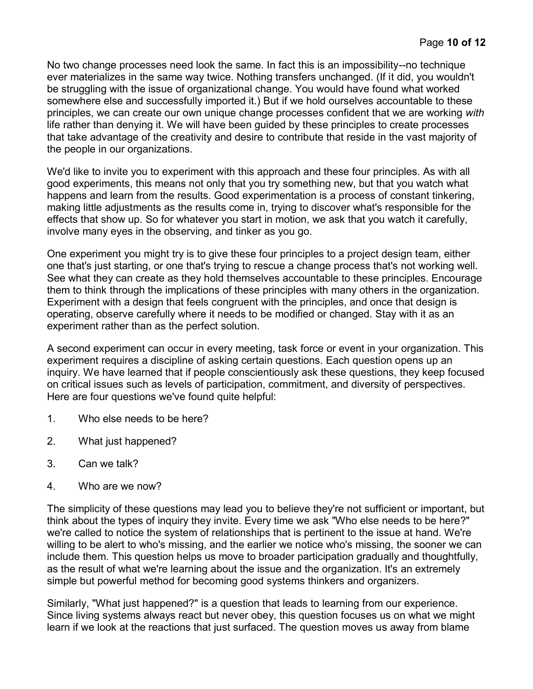No two change processes need look the same. In fact this is an impossibility--no technique ever materializes in the same way twice. Nothing transfers unchanged. (If it did, you wouldn't be struggling with the issue of organizational change. You would have found what worked somewhere else and successfully imported it.) But if we hold ourselves accountable to these principles, we can create our own unique change processes confident that we are working *with* life rather than denying it. We will have been guided by these principles to create processes that take advantage of the creativity and desire to contribute that reside in the vast majority of the people in our organizations.

We'd like to invite you to experiment with this approach and these four principles. As with all good experiments, this means not only that you try something new, but that you watch what happens and learn from the results. Good experimentation is a process of constant tinkering, making little adjustments as the results come in, trying to discover what's responsible for the effects that show up. So for whatever you start in motion, we ask that you watch it carefully, involve many eyes in the observing, and tinker as you go.

One experiment you might try is to give these four principles to a project design team, either one that's just starting, or one that's trying to rescue a change process that's not working well. See what they can create as they hold themselves accountable to these principles. Encourage them to think through the implications of these principles with many others in the organization. Experiment with a design that feels congruent with the principles, and once that design is operating, observe carefully where it needs to be modified or changed. Stay with it as an experiment rather than as the perfect solution.

A second experiment can occur in every meeting, task force or event in your organization. This experiment requires a discipline of asking certain questions. Each question opens up an inquiry. We have learned that if people conscientiously ask these questions, they keep focused on critical issues such as levels of participation, commitment, and diversity of perspectives. Here are four questions we've found quite helpful:

- 1. Who else needs to be here?
- 2. What just happened?
- 3. Can we talk?
- 4. Who are we now?

The simplicity of these questions may lead you to believe they're not sufficient or important, but think about the types of inquiry they invite. Every time we ask "Who else needs to be here?" we're called to notice the system of relationships that is pertinent to the issue at hand. We're willing to be alert to who's missing, and the earlier we notice who's missing, the sooner we can include them. This question helps us move to broader participation gradually and thoughtfully, as the result of what we're learning about the issue and the organization. It's an extremely simple but powerful method for becoming good systems thinkers and organizers.

Similarly, "What just happened?" is a question that leads to learning from our experience. Since living systems always react but never obey, this question focuses us on what we might learn if we look at the reactions that just surfaced. The question moves us away from blame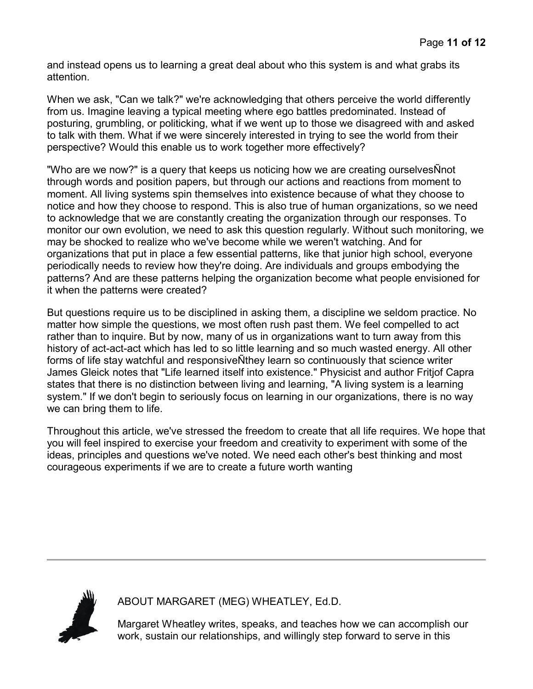and instead opens us to learning a great deal about who this system is and what grabs its attention.

When we ask, "Can we talk?" we're acknowledging that others perceive the world differently from us. Imagine leaving a typical meeting where ego battles predominated. Instead of posturing, grumbling, or politicking, what if we went up to those we disagreed with and asked to talk with them. What if we were sincerely interested in trying to see the world from their perspective? Would this enable us to work together more effectively?

"Who are we now?" is a query that keeps us noticing how we are creating ourselvesÑnot through words and position papers, but through our actions and reactions from moment to moment. All living systems spin themselves into existence because of what they choose to notice and how they choose to respond. This is also true of human organizations, so we need to acknowledge that we are constantly creating the organization through our responses. To monitor our own evolution, we need to ask this question regularly. Without such monitoring, we may be shocked to realize who we've become while we weren't watching. And for organizations that put in place a few essential patterns, like that junior high school, everyone periodically needs to review how they're doing. Are individuals and groups embodying the patterns? And are these patterns helping the organization become what people envisioned for it when the patterns were created?

But questions require us to be disciplined in asking them, a discipline we seldom practice. No matter how simple the questions, we most often rush past them. We feel compelled to act rather than to inquire. But by now, many of us in organizations want to turn away from this history of act-act-act which has led to so little learning and so much wasted energy. All other forms of life stay watchful and responsiveÑthey learn so continuously that science writer James Gleick notes that "Life learned itself into existence." Physicist and author Fritjof Capra states that there is no distinction between living and learning, "A living system is a learning system." If we don't begin to seriously focus on learning in our organizations, there is no way we can bring them to life.

Throughout this article, we've stressed the freedom to create that all life requires. We hope that you will feel inspired to exercise your freedom and creativity to experiment with some of the ideas, principles and questions we've noted. We need each other's best thinking and most courageous experiments if we are to create a future worth wanting



ABOUT MARGARET (MEG) WHEATLEY, Ed.D.

Margaret Wheatley writes, speaks, and teaches how we can accomplish our work, sustain our relationships, and willingly step forward to serve in this